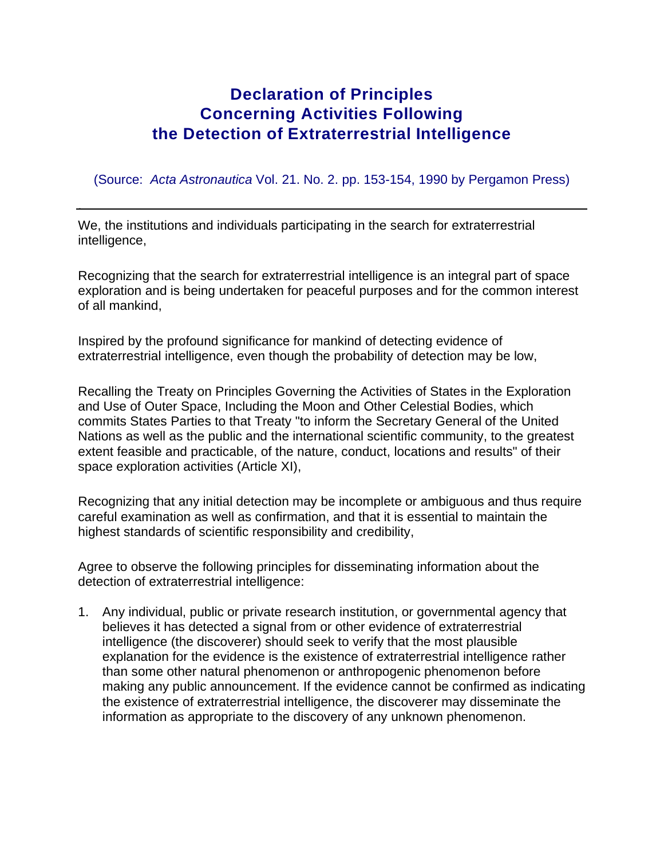## **Declaration of Principles Concerning Activities Following the Detection of Extraterrestrial Intelligence**

(Source: *Acta Astronautica* Vol. 21. No. 2. pp. 153-154, 1990 by Pergamon Press)

We, the institutions and individuals participating in the search for extraterrestrial intelligence,

.

Recognizing that the search for extraterrestrial intelligence is an integral part of space exploration and is being undertaken for peaceful purposes and for the common interest of all mankind,

Inspired by the profound significance for mankind of detecting evidence of extraterrestrial intelligence, even though the probability of detection may be low,

Recalling the Treaty on Principles Governing the Activities of States in the Exploration and Use of Outer Space, Including the Moon and Other Celestial Bodies, which commits States Parties to that Treaty "to inform the Secretary General of the United Nations as well as the public and the international scientific community, to the greatest extent feasible and practicable, of the nature, conduct, locations and results" of their space exploration activities (Article XI),

Recognizing that any initial detection may be incomplete or ambiguous and thus require careful examination as well as confirmation, and that it is essential to maintain the highest standards of scientific responsibility and credibility,

Agree to observe the following principles for disseminating information about the detection of extraterrestrial intelligence:

1. Any individual, public or private research institution, or governmental agency that believes it has detected a signal from or other evidence of extraterrestrial intelligence (the discoverer) should seek to verify that the most plausible explanation for the evidence is the existence of extraterrestrial intelligence rather than some other natural phenomenon or anthropogenic phenomenon before making any public announcement. If the evidence cannot be confirmed as indicating the existence of extraterrestrial intelligence, the discoverer may disseminate the information as appropriate to the discovery of any unknown phenomenon.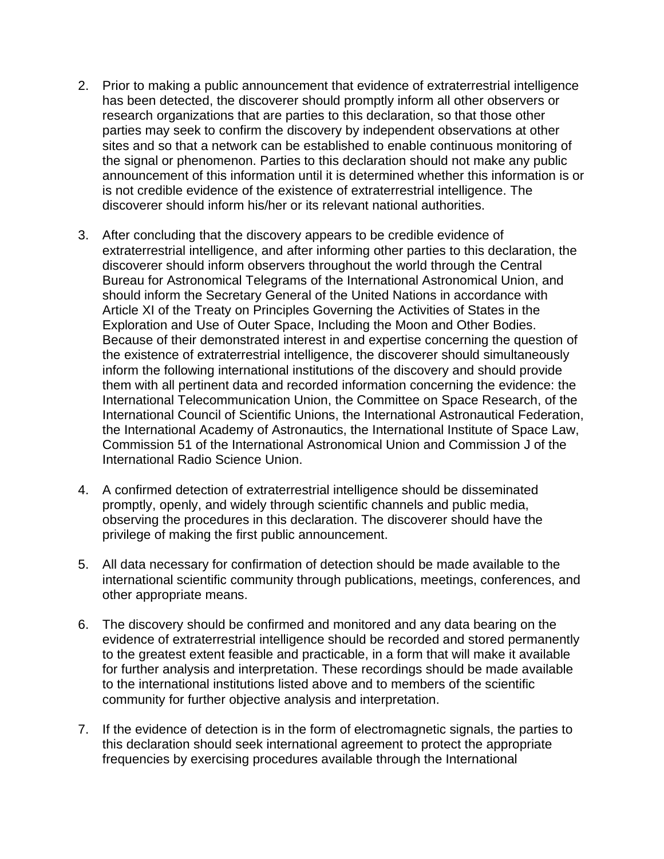- 2. Prior to making a public announcement that evidence of extraterrestrial intelligence has been detected, the discoverer should promptly inform all other observers or research organizations that are parties to this declaration, so that those other parties may seek to confirm the discovery by independent observations at other sites and so that a network can be established to enable continuous monitoring of the signal or phenomenon. Parties to this declaration should not make any public announcement of this information until it is determined whether this information is or is not credible evidence of the existence of extraterrestrial intelligence. The discoverer should inform his/her or its relevant national authorities.
- 3. After concluding that the discovery appears to be credible evidence of extraterrestrial intelligence, and after informing other parties to this declaration, the discoverer should inform observers throughout the world through the Central Bureau for Astronomical Telegrams of the International Astronomical Union, and should inform the Secretary General of the United Nations in accordance with Article XI of the Treaty on Principles Governing the Activities of States in the Exploration and Use of Outer Space, Including the Moon and Other Bodies. Because of their demonstrated interest in and expertise concerning the question of the existence of extraterrestrial intelligence, the discoverer should simultaneously inform the following international institutions of the discovery and should provide them with all pertinent data and recorded information concerning the evidence: the International Telecommunication Union, the Committee on Space Research, of the International Council of Scientific Unions, the International Astronautical Federation, the International Academy of Astronautics, the International Institute of Space Law, Commission 51 of the International Astronomical Union and Commission J of the International Radio Science Union.
- 4. A confirmed detection of extraterrestrial intelligence should be disseminated promptly, openly, and widely through scientific channels and public media, observing the procedures in this declaration. The discoverer should have the privilege of making the first public announcement.
- 5. All data necessary for confirmation of detection should be made available to the international scientific community through publications, meetings, conferences, and other appropriate means.
- 6. The discovery should be confirmed and monitored and any data bearing on the evidence of extraterrestrial intelligence should be recorded and stored permanently to the greatest extent feasible and practicable, in a form that will make it available for further analysis and interpretation. These recordings should be made available to the international institutions listed above and to members of the scientific community for further objective analysis and interpretation.
- 7. If the evidence of detection is in the form of electromagnetic signals, the parties to this declaration should seek international agreement to protect the appropriate frequencies by exercising procedures available through the International